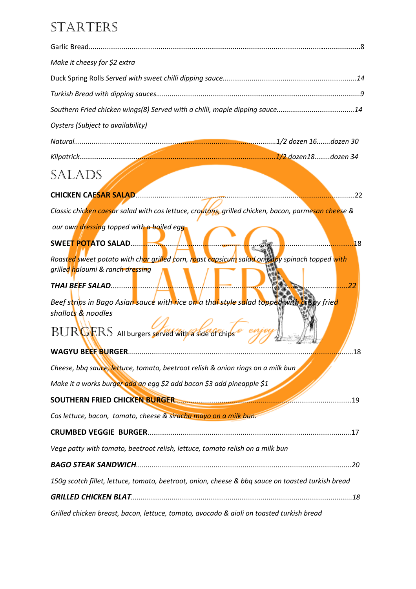### STARTERS

| Make it cheesy for \$2 extra                                                                                                                |
|---------------------------------------------------------------------------------------------------------------------------------------------|
|                                                                                                                                             |
|                                                                                                                                             |
|                                                                                                                                             |
| <b>Oysters (Subject to availability)</b>                                                                                                    |
|                                                                                                                                             |
|                                                                                                                                             |
| SALADS                                                                                                                                      |
|                                                                                                                                             |
| Classic chic <mark>ken caesa</mark> r salad with cos lettuce, croutons, grilled chicken, bacon, parmesan cheese &                           |
| our own dressing topped with a boiled egg                                                                                                   |
| 18                                                                                                                                          |
| Roasted sweet potato with char grilled corn, roast capsicum salad on baby spinach topped with                                               |
| grilled haloumi & ranch dressing                                                                                                            |
| <b>THAI BEEF SALAD</b><br>.22                                                                                                               |
| Beef s <mark>t</mark> rips in Bago Asian sauce with rice on a thai style salad topped with crispy frie <mark>d</mark><br>shallots & noodles |
| BURGERS All burgers served with a side of chips                                                                                             |
| <b>WAGYU BEEF BURGER.</b><br>18                                                                                                             |
| Cheese, bbq sauce, lettuce, tomato, beetroot relish & onion rings on a milk bun                                                             |
| Make it a works burger add an egg \$2 add bacon \$3 add pineapple \$1                                                                       |
| . 19                                                                                                                                        |
| Cos lettuce, bacon, tomato, cheese & siracha mayo on a milk bun.                                                                            |
|                                                                                                                                             |
| Vege patty with tomato, beetroot relish, lettuce, tomato relish on a milk bun                                                               |
|                                                                                                                                             |
| 150g scotch fillet, lettuce, tomato, beetroot, onion, cheese & bbq sauce on toasted turkish bread                                           |
|                                                                                                                                             |
| Grilled chicken breast, bacon, lettuce, tomato, avocado & aioli on toasted turkish bread                                                    |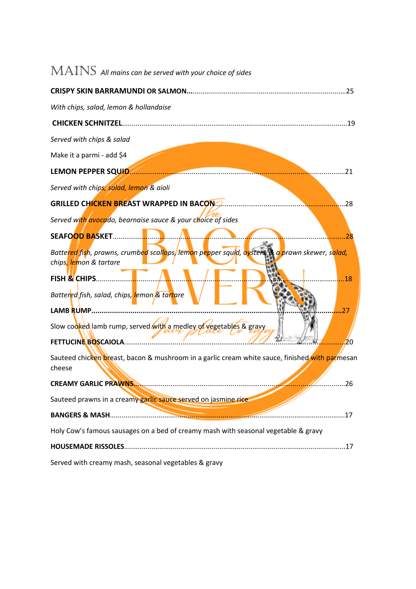| $\operatorname{MAINS}$ All mains can be served with your choice of sides                                                 |
|--------------------------------------------------------------------------------------------------------------------------|
|                                                                                                                          |
| With chips, salad, lemon & hollandaise                                                                                   |
| <b>CHICKEN SCHNITZEL</b>                                                                                                 |
| Served with chips & salad                                                                                                |
| Make it a parmi - add \$4                                                                                                |
| LEMON PEPPER SQUID.<br>21                                                                                                |
| Served with chips, salad, lemon & aioli                                                                                  |
| <b>GRILLED CHICKEN BREAST WRAPPED IN BACON</b><br>.28                                                                    |
| Served with avocado, bearnaise sauce & your choice of sides                                                              |
| <b>SEAFOOD BASKET</b><br>28                                                                                              |
| Battered fish, prawns, crumbed scallops, lemon pepper squid, oysters, & a prawn skewer, salad,<br>chips, lemon & tartare |
| <b>FISH &amp; CHIPS</b><br>18<br>Battered fish, salad, chips, lemon & tartare<br>LAMB RUMP<br>.27                        |
| Slow cooked lamb rump, served with a medley of vegetables & gravy<br><b>FETTUCINE BOSCAIOLA</b><br>20                    |
| Sauteed chicken breast, bacon & mushroom in a garlic cream white sauce, finished with parmesan<br>cheese                 |
| . 26                                                                                                                     |
| Sauteed prawns in a creamy garlic sauce served on jasmine rice                                                           |
|                                                                                                                          |
| Holy Cow's famous sausages on a bed of creamy mash with seasonal vegetable & gravy                                       |
|                                                                                                                          |
| Served with creamy mash, seasonal vegetables & gravy                                                                     |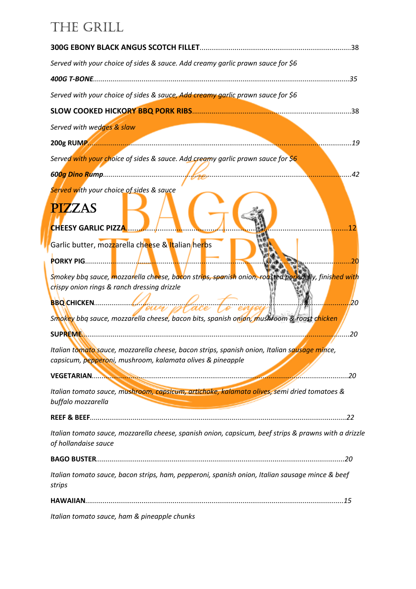### THE GRILL

| Served with your choice of sides & sauce. Add creamy garlic prawn sauce for \$6                                                                                                                                                                                                                                      |
|----------------------------------------------------------------------------------------------------------------------------------------------------------------------------------------------------------------------------------------------------------------------------------------------------------------------|
|                                                                                                                                                                                                                                                                                                                      |
| Served with your choice of sides & sauce, Add creamy garlic prawn sauce for \$6                                                                                                                                                                                                                                      |
|                                                                                                                                                                                                                                                                                                                      |
| Served with wedges & slaw                                                                                                                                                                                                                                                                                            |
| .19                                                                                                                                                                                                                                                                                                                  |
| Served with your choice of sides & sauce. Add creamy garlic prawn sauce for \$6                                                                                                                                                                                                                                      |
| . 42                                                                                                                                                                                                                                                                                                                 |
| Served with your choice of sides & sauce<br><b>PIZZAS</b><br><b>CHEESY GARLIC PIZZA</b><br>12                                                                                                                                                                                                                        |
| Garlic butter, moz <mark>z</mark> arella cheese & Italian/herbs                                                                                                                                                                                                                                                      |
| 20                                                                                                                                                                                                                                                                                                                   |
| S <mark>mokey bbq sauce, mozzar</mark> ella cheese, bacon strips, spanish onion, roasted pork belly, finis <mark>hed wit</mark> h<br>crispy onion rings & ranch dressing drizzle<br>BOCHICKEN Sour place to enjoy<br>.20<br>Smokey bbq sauce, mozzarella cheese, bacon bits, spanish onion, mushroom & roast chicken |
| Italian tomato sauce, mozzarella cheese, bacon strips, spanish onion, Italian sausage mince,<br>capsicum, pepperoni, mushroom, kalamata olives & pineapple                                                                                                                                                           |
|                                                                                                                                                                                                                                                                                                                      |
| Italian tomato sauce, mushroom, capsicum, artichoke, kalamata olives, semi dried tomatoes &<br>buffalo mozzarella                                                                                                                                                                                                    |
|                                                                                                                                                                                                                                                                                                                      |
| Italian tomato sauce, mozzarella cheese, spanish onion, capsicum, beef strips & prawns with a drizzle<br>of hollandaise sauce                                                                                                                                                                                        |
|                                                                                                                                                                                                                                                                                                                      |
| Italian tomato sauce, bacon strips, ham, pepperoni, spanish onion, Italian sausage mince & beef<br>strips                                                                                                                                                                                                            |
|                                                                                                                                                                                                                                                                                                                      |
| Italian tomato sauce, ham & pineapple chunks                                                                                                                                                                                                                                                                         |